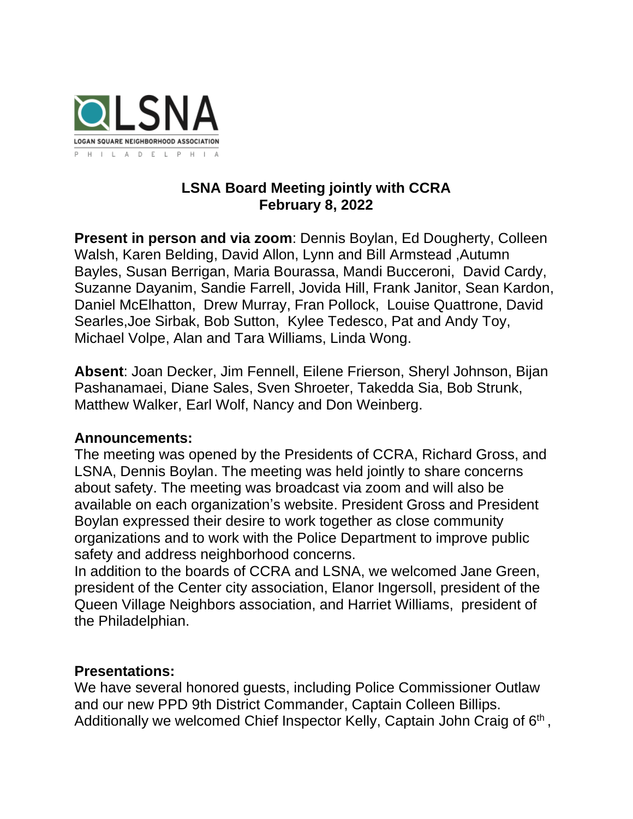

## **LSNA Board Meeting jointly with CCRA February 8, 2022**

**Present in person and via zoom**: Dennis Boylan, Ed Dougherty, Colleen Walsh, Karen Belding, David Allon, Lynn and Bill Armstead ,Autumn Bayles, Susan Berrigan, Maria Bourassa, Mandi Bucceroni, David Cardy, Suzanne Dayanim, Sandie Farrell, Jovida Hill, Frank Janitor, Sean Kardon, Daniel McElhatton, Drew Murray, Fran Pollock, Louise Quattrone, David Searles,Joe Sirbak, Bob Sutton, Kylee Tedesco, Pat and Andy Toy, Michael Volpe, Alan and Tara Williams, Linda Wong.

**Absent**: Joan Decker, Jim Fennell, Eilene Frierson, Sheryl Johnson, Bijan Pashanamaei, Diane Sales, Sven Shroeter, Takedda Sia, Bob Strunk, Matthew Walker, Earl Wolf, Nancy and Don Weinberg.

## **Announcements:**

The meeting was opened by the Presidents of CCRA, Richard Gross, and LSNA, Dennis Boylan. The meeting was held jointly to share concerns about safety. The meeting was broadcast via zoom and will also be available on each organization's website. President Gross and President Boylan expressed their desire to work together as close community organizations and to work with the Police Department to improve public safety and address neighborhood concerns.

In addition to the boards of CCRA and LSNA, we welcomed Jane Green, president of the Center city association, Elanor Ingersoll, president of the Queen Village Neighbors association, and Harriet Williams, president of the Philadelphian.

## **Presentations:**

We have several honored guests, including Police Commissioner Outlaw and our new PPD 9th District Commander, Captain Colleen Billips. Additionally we welcomed Chief Inspector Kelly, Captain John Craig of 6<sup>th</sup>,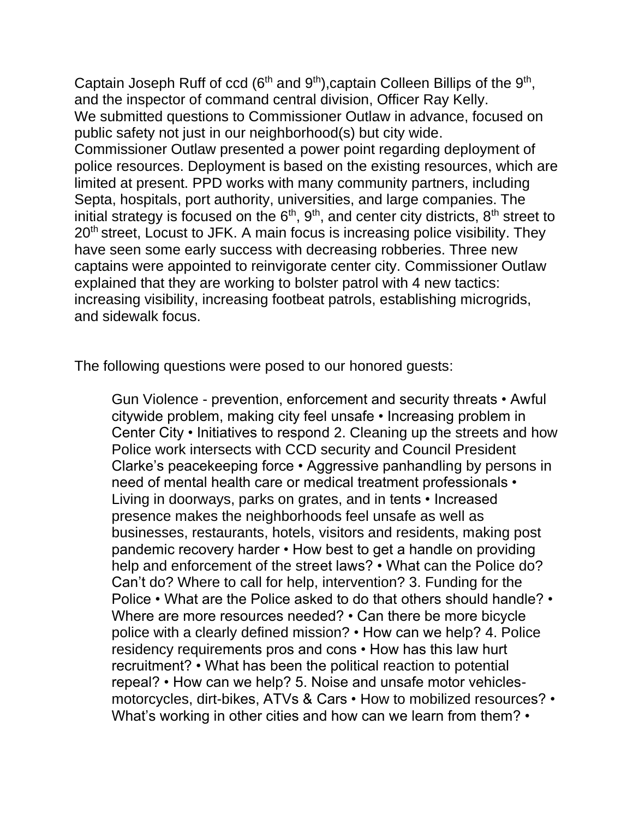Captain Joseph Ruff of ccd ( $6<sup>th</sup>$  and  $9<sup>th</sup>$ ), captain Colleen Billips of the  $9<sup>th</sup>$ , and the inspector of command central division, Officer Ray Kelly. We submitted questions to Commissioner Outlaw in advance, focused on public safety not just in our neighborhood(s) but city wide. Commissioner Outlaw presented a power point regarding deployment of police resources. Deployment is based on the existing resources, which are limited at present. PPD works with many community partners, including Septa, hospitals, port authority, universities, and large companies. The initial strategy is focused on the  $6<sup>th</sup>$ ,  $9<sup>th</sup>$ , and center city districts,  $8<sup>th</sup>$  street to 20<sup>th</sup> street, Locust to JFK. A main focus is increasing police visibility. They have seen some early success with decreasing robberies. Three new captains were appointed to reinvigorate center city. Commissioner Outlaw explained that they are working to bolster patrol with 4 new tactics: increasing visibility, increasing footbeat patrols, establishing microgrids, and sidewalk focus.

The following questions were posed to our honored guests:

Gun Violence - prevention, enforcement and security threats • Awful citywide problem, making city feel unsafe • Increasing problem in Center City • Initiatives to respond 2. Cleaning up the streets and how Police work intersects with CCD security and Council President Clarke's peacekeeping force • Aggressive panhandling by persons in need of mental health care or medical treatment professionals • Living in doorways, parks on grates, and in tents • Increased presence makes the neighborhoods feel unsafe as well as businesses, restaurants, hotels, visitors and residents, making post pandemic recovery harder • How best to get a handle on providing help and enforcement of the street laws? • What can the Police do? Can't do? Where to call for help, intervention? 3. Funding for the Police • What are the Police asked to do that others should handle? • Where are more resources needed? • Can there be more bicycle police with a clearly defined mission? • How can we help? 4. Police residency requirements pros and cons • How has this law hurt recruitment? • What has been the political reaction to potential repeal? • How can we help? 5. Noise and unsafe motor vehiclesmotorcycles, dirt-bikes, ATVs & Cars • How to mobilized resources? • What's working in other cities and how can we learn from them? •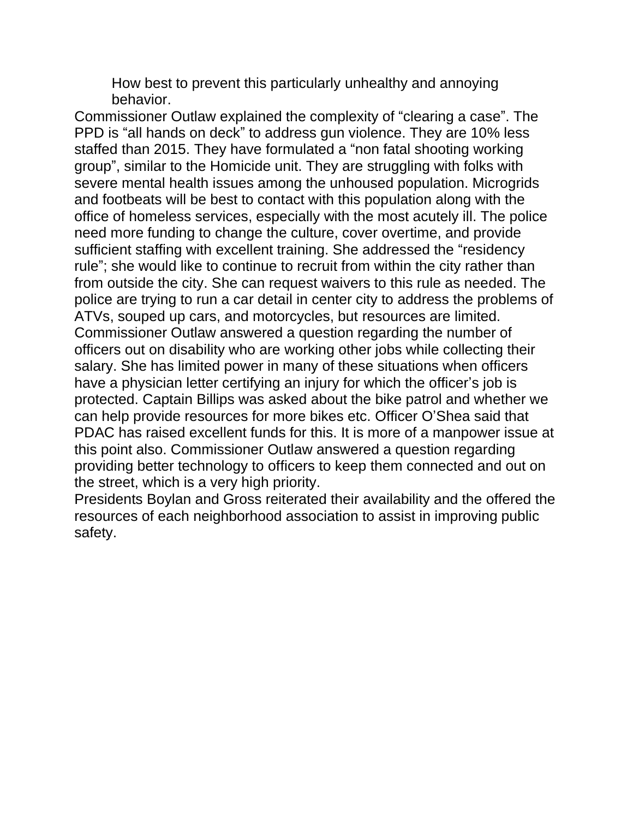How best to prevent this particularly unhealthy and annoying behavior.

Commissioner Outlaw explained the complexity of "clearing a case". The PPD is "all hands on deck" to address gun violence. They are 10% less staffed than 2015. They have formulated a "non fatal shooting working group", similar to the Homicide unit. They are struggling with folks with severe mental health issues among the unhoused population. Microgrids and footbeats will be best to contact with this population along with the office of homeless services, especially with the most acutely ill. The police need more funding to change the culture, cover overtime, and provide sufficient staffing with excellent training. She addressed the "residency rule"; she would like to continue to recruit from within the city rather than from outside the city. She can request waivers to this rule as needed. The police are trying to run a car detail in center city to address the problems of ATVs, souped up cars, and motorcycles, but resources are limited. Commissioner Outlaw answered a question regarding the number of officers out on disability who are working other jobs while collecting their salary. She has limited power in many of these situations when officers have a physician letter certifying an injury for which the officer's job is protected. Captain Billips was asked about the bike patrol and whether we can help provide resources for more bikes etc. Officer O'Shea said that PDAC has raised excellent funds for this. It is more of a manpower issue at this point also. Commissioner Outlaw answered a question regarding providing better technology to officers to keep them connected and out on the street, which is a very high priority.

Presidents Boylan and Gross reiterated their availability and the offered the resources of each neighborhood association to assist in improving public safety.